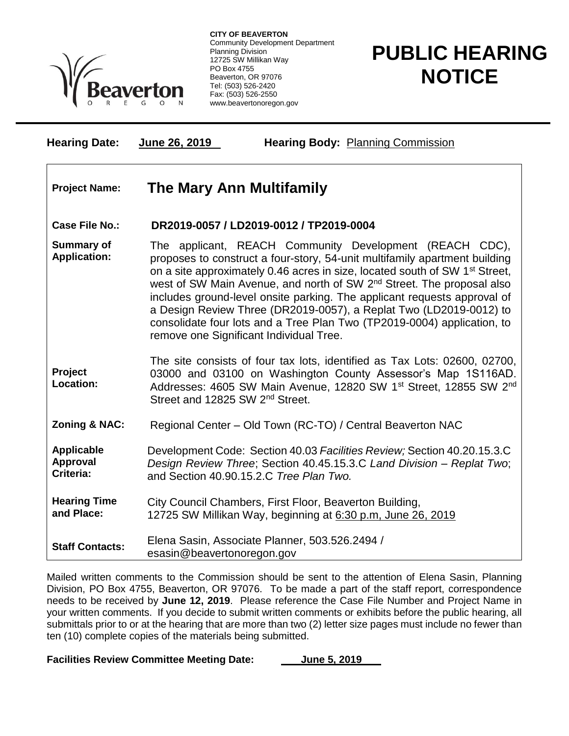

**CITY OF BEAVERTON** Community Development Department Planning Division 12725 SW Millikan Way PO Box 4755 Beaverton, OR 97076 Tel: (503) 526-2420 Fax: (503) 526-2550 www.beavertonoregon.gov

## **PUBLIC HEARING NOTICE**

| <b>Hearing Date:</b>                              | June 26, 2019<br><b>Hearing Body: Planning Commission</b>                                                                                                                                                                                                                                                                                                                                                                                                                                                                                                                                     |
|---------------------------------------------------|-----------------------------------------------------------------------------------------------------------------------------------------------------------------------------------------------------------------------------------------------------------------------------------------------------------------------------------------------------------------------------------------------------------------------------------------------------------------------------------------------------------------------------------------------------------------------------------------------|
| <b>Project Name:</b>                              | <b>The Mary Ann Multifamily</b>                                                                                                                                                                                                                                                                                                                                                                                                                                                                                                                                                               |
| <b>Case File No.:</b>                             | DR2019-0057 / LD2019-0012 / TP2019-0004                                                                                                                                                                                                                                                                                                                                                                                                                                                                                                                                                       |
| <b>Summary of</b><br><b>Application:</b>          | The applicant, REACH Community Development (REACH CDC),<br>proposes to construct a four-story, 54-unit multifamily apartment building<br>on a site approximately 0.46 acres in size, located south of SW 1 <sup>st</sup> Street,<br>west of SW Main Avenue, and north of SW 2 <sup>nd</sup> Street. The proposal also<br>includes ground-level onsite parking. The applicant requests approval of<br>a Design Review Three (DR2019-0057), a Replat Two (LD2019-0012) to<br>consolidate four lots and a Tree Plan Two (TP2019-0004) application, to<br>remove one Significant Individual Tree. |
| Project<br><b>Location:</b>                       | The site consists of four tax lots, identified as Tax Lots: 02600, 02700,<br>03000 and 03100 on Washington County Assessor's Map 1S116AD.<br>Addresses: 4605 SW Main Avenue, 12820 SW 1 <sup>st</sup> Street, 12855 SW 2 <sup>nd</sup><br>Street and 12825 SW 2 <sup>nd</sup> Street.                                                                                                                                                                                                                                                                                                         |
| Zoning & NAC:                                     | Regional Center - Old Town (RC-TO) / Central Beaverton NAC                                                                                                                                                                                                                                                                                                                                                                                                                                                                                                                                    |
| <b>Applicable</b><br><b>Approval</b><br>Criteria: | Development Code: Section 40.03 Facilities Review; Section 40.20.15.3.C<br>Design Review Three; Section 40.45.15.3.C Land Division - Replat Two;<br>and Section 40.90.15.2.C Tree Plan Two.                                                                                                                                                                                                                                                                                                                                                                                                   |
| <b>Hearing Time</b><br>and Place:                 | City Council Chambers, First Floor, Beaverton Building,<br>12725 SW Millikan Way, beginning at 6:30 p.m. June 26, 2019                                                                                                                                                                                                                                                                                                                                                                                                                                                                        |
| <b>Staff Contacts:</b>                            | Elena Sasin, Associate Planner, 503.526.2494 /<br>esasin@beavertonoregon.gov                                                                                                                                                                                                                                                                                                                                                                                                                                                                                                                  |

Mailed written comments to the Commission should be sent to the attention of Elena Sasin, Planning Division, PO Box 4755, Beaverton, OR 97076. To be made a part of the staff report, correspondence needs to be received by **June 12, 2019**. Please reference the Case File Number and Project Name in your written comments. If you decide to submit written comments or exhibits before the public hearing, all submittals prior to or at the hearing that are more than two (2) letter size pages must include no fewer than ten (10) complete copies of the materials being submitted.

Facilities Review Committee Meeting Date: **June 5, 2019**